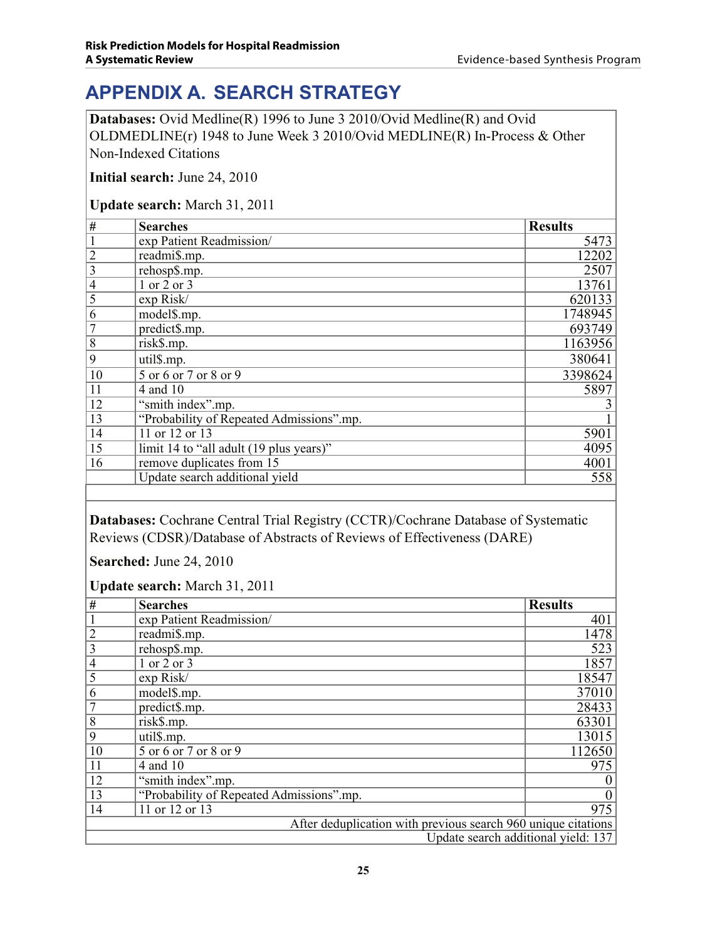## **APPENDIX A. Search Strategy**

**Databases:** Ovid Medline(R) 1996 to June 3 2010/Ovid Medline(R) and Ovid OLDMEDLINE(r) 1948 to June Week 3 2010/Ovid MEDLINE(R) In-Process & Other Non-Indexed Citations

**Initial search:** June 24, 2010

## **Update search:** March 31, 2011

| #                       | <b>Searches</b>                          | <b>Results</b> |
|-------------------------|------------------------------------------|----------------|
|                         | exp Patient Readmission/                 | 5473           |
| $\overline{c}$          | readmi\$.mp.                             | 12202          |
| $\overline{\mathbf{3}}$ | rehosp\$.mp.                             | 2507           |
| $\overline{4}$          | 1 or 2 or 3                              | 13761          |
| $\overline{5}$          | exp Risk/                                | 620133         |
| 6                       | model\$.mp.                              | 1748945        |
| $\overline{7}$          | predict\$.mp.                            | 693749         |
| 8                       | risk\$.mp.                               | 1163956        |
| 9                       | util\$.mp.                               | 380641         |
| 10                      | 5 or 6 or 7 or 8 or 9                    | 3398624        |
| 11                      | 4 and 10                                 | 5897           |
| 12                      | "smith index".mp.                        | $\overline{3}$ |
| 13                      | "Probability of Repeated Admissions".mp. |                |
| 14                      | 11 or 12 or 13                           | 5901           |
| 15                      | limit 14 to "all adult (19 plus years)"  | 4095           |
| 16                      | remove duplicates from 15                | 4001           |
|                         | Update search additional yield           | 558            |

**Databases:** Cochrane Central Trial Registry (CCTR)/Cochrane Database of Systematic Reviews (CDSR)/Database of Abstracts of Reviews of Effectiveness (DARE)

**Searched:** June 24, 2010

**Update search:** March 31, 2011

| #                                                             | <b>Searches</b>                          | <b>Results</b>   |  |  |
|---------------------------------------------------------------|------------------------------------------|------------------|--|--|
|                                                               | exp Patient Readmission/                 | 401              |  |  |
| $\overline{2}$                                                | readmi\$.mp.                             | 1478             |  |  |
| 3                                                             | rehosp\$.mp.                             | $\overline{523}$ |  |  |
| $\overline{4}$                                                | 1 or 2 or 3                              | 1857             |  |  |
| 5                                                             | exp Risk/                                | 18547            |  |  |
| 6                                                             | model\$.mp.                              | 37010            |  |  |
|                                                               | predict\$.mp.                            | 28433            |  |  |
| 8                                                             | risk\$.mp.                               | 63301            |  |  |
| 9                                                             | util\$.mp.                               | 13015            |  |  |
| 10                                                            | 5 or 6 or 7 or 8 or 9                    | 112650           |  |  |
| 11                                                            | 4 and 10                                 | 975              |  |  |
| 12                                                            | "smith index".mp.                        |                  |  |  |
| 13                                                            | "Probability of Repeated Admissions".mp. | $\overline{0}$   |  |  |
| 14                                                            | 11 or 12 or 13                           | 975              |  |  |
| After deduplication with previous search 960 unique citations |                                          |                  |  |  |
|                                                               | Update search additional yield: 137      |                  |  |  |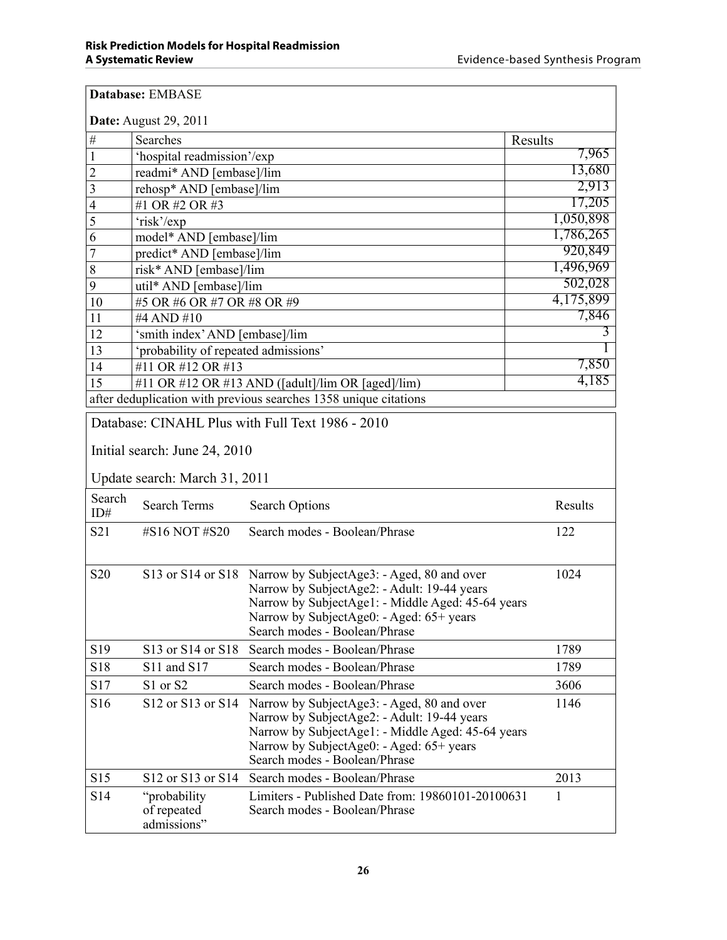|                 | Database: EMBASE                                      |                                                                                                                                                                                                                                               |           |  |  |  |  |  |  |
|-----------------|-------------------------------------------------------|-----------------------------------------------------------------------------------------------------------------------------------------------------------------------------------------------------------------------------------------------|-----------|--|--|--|--|--|--|
|                 | <b>Date:</b> August 29, 2011                          |                                                                                                                                                                                                                                               |           |  |  |  |  |  |  |
| $\#$            | Searches<br>Results                                   |                                                                                                                                                                                                                                               |           |  |  |  |  |  |  |
| $\mathbf 1$     | 'hospital readmission'/exp                            |                                                                                                                                                                                                                                               | 7,965     |  |  |  |  |  |  |
| $\overline{2}$  | readmi* AND [embase]/lim                              | 13,680                                                                                                                                                                                                                                        |           |  |  |  |  |  |  |
| 3               | rehosp* AND [embase]/lim                              |                                                                                                                                                                                                                                               | 2,913     |  |  |  |  |  |  |
| 4               | #1 OR #2 OR #3                                        | 17,205                                                                                                                                                                                                                                        |           |  |  |  |  |  |  |
| 5               | 'risk'/exp                                            |                                                                                                                                                                                                                                               | 1,050,898 |  |  |  |  |  |  |
| 6               | model* AND [embase]/lim                               |                                                                                                                                                                                                                                               | 1,786,265 |  |  |  |  |  |  |
| 7               | predict* AND [embase]/lim                             |                                                                                                                                                                                                                                               | 920,849   |  |  |  |  |  |  |
| 8               | risk* AND [embase]/lim                                |                                                                                                                                                                                                                                               | 1,496,969 |  |  |  |  |  |  |
| 9               | util* AND [embase]/lim                                |                                                                                                                                                                                                                                               | 502,028   |  |  |  |  |  |  |
| 10              | #5 OR #6 OR #7 OR #8 OR #9                            |                                                                                                                                                                                                                                               | 4,175,899 |  |  |  |  |  |  |
| 11              | #4 AND #10                                            |                                                                                                                                                                                                                                               | 7,846     |  |  |  |  |  |  |
| 12              | 'smith index' AND [embase]/lim                        |                                                                                                                                                                                                                                               | 3         |  |  |  |  |  |  |
| 13              | 'probability of repeated admissions'                  |                                                                                                                                                                                                                                               |           |  |  |  |  |  |  |
| 14              | #11 OR #12 OR #13                                     |                                                                                                                                                                                                                                               | 7,850     |  |  |  |  |  |  |
| 15              |                                                       | #11 OR #12 OR #13 AND ([adult]/ $\lim$ OR [aged]/ $\lim$ )                                                                                                                                                                                    | 4,185     |  |  |  |  |  |  |
|                 |                                                       | after deduplication with previous searches 1358 unique citations                                                                                                                                                                              |           |  |  |  |  |  |  |
|                 | Initial search: June 24, 2010                         | Database: CINAHL Plus with Full Text 1986 - 2010                                                                                                                                                                                              |           |  |  |  |  |  |  |
|                 | Update search: March 31, 2011                         |                                                                                                                                                                                                                                               |           |  |  |  |  |  |  |
| Search<br>ID#   | <b>Search Terms</b>                                   | <b>Search Options</b>                                                                                                                                                                                                                         | Results   |  |  |  |  |  |  |
| S21             | #S16 NOT #S20                                         | Search modes - Boolean/Phrase                                                                                                                                                                                                                 | 122       |  |  |  |  |  |  |
| S <sub>20</sub> |                                                       | S13 or S14 or S18 Narrow by SubjectAge3: - Aged, 80 and over<br>Narrow by SubjectAge2: - Adult: 19-44 years<br>Narrow by SubjectAge1: - Middle Aged: 45-64 years<br>Narrow by SubjectAge0: - Aged: 65+ years<br>Search modes - Boolean/Phrase | 1024      |  |  |  |  |  |  |
| S19             | S13 or S14 or S18                                     | Search modes - Boolean/Phrase                                                                                                                                                                                                                 | 1789      |  |  |  |  |  |  |
| S18             | S11 and S17                                           | Search modes - Boolean/Phrase                                                                                                                                                                                                                 | 1789      |  |  |  |  |  |  |
| S17             | S1 or S2                                              | Search modes - Boolean/Phrase                                                                                                                                                                                                                 | 3606      |  |  |  |  |  |  |
| S16             | S <sub>12</sub> or S <sub>13</sub> or S <sub>14</sub> | Narrow by SubjectAge3: - Aged, 80 and over<br>Narrow by SubjectAge2: - Adult: 19-44 years<br>Narrow by SubjectAge1: - Middle Aged: 45-64 years<br>Narrow by SubjectAge0: - Aged: 65+ years<br>Search modes - Boolean/Phrase                   | 1146      |  |  |  |  |  |  |
| S15             | S12 or S13 or S14                                     | Search modes - Boolean/Phrase                                                                                                                                                                                                                 | 2013      |  |  |  |  |  |  |
| S14             | "probability"<br>of repeated<br>admissions"           | Limiters - Published Date from: 19860101-20100631<br>Search modes - Boolean/Phrase                                                                                                                                                            | 1         |  |  |  |  |  |  |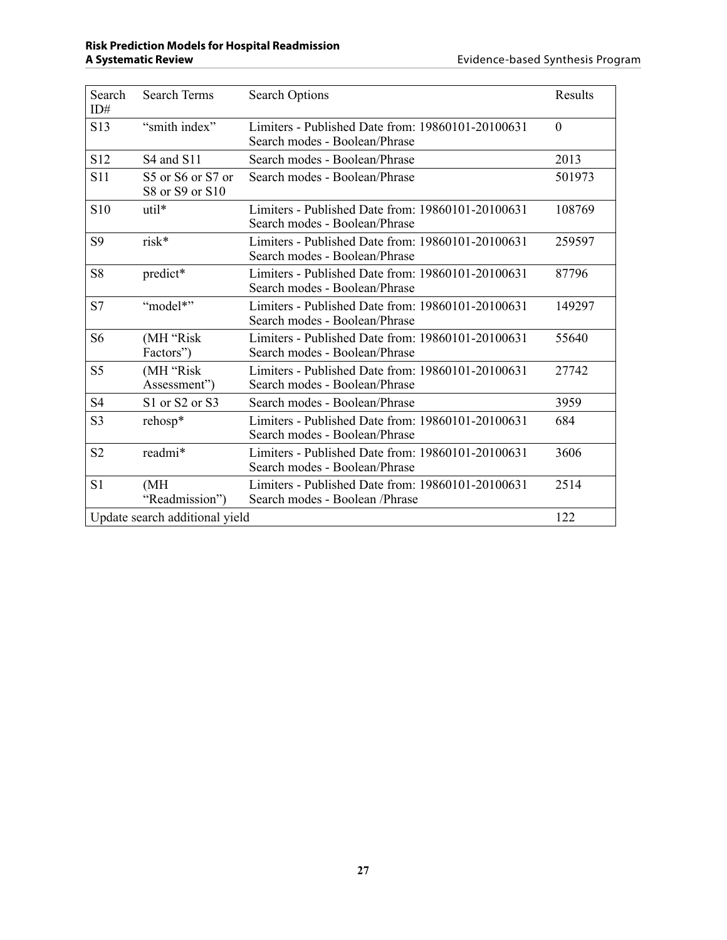| Search<br>ID#   | <b>Search Terms</b>                  | <b>Search Options</b>                                                               | Results      |
|-----------------|--------------------------------------|-------------------------------------------------------------------------------------|--------------|
| S13             | "smith index"                        | Limiters - Published Date from: 19860101-20100631<br>Search modes - Boolean/Phrase  | $\mathbf{0}$ |
| S12             | S4 and S11                           | Search modes - Boolean/Phrase                                                       | 2013         |
| S <sub>11</sub> | S5 or S6 or S7 or<br>S8 or S9 or S10 | Search modes - Boolean/Phrase                                                       | 501973       |
| S10             | util*                                | Limiters - Published Date from: 19860101-20100631<br>Search modes - Boolean/Phrase  | 108769       |
| S <sub>9</sub>  | risk*                                | Limiters - Published Date from: 19860101-20100631<br>Search modes - Boolean/Phrase  | 259597       |
| S8              | predict*                             | Limiters - Published Date from: 19860101-20100631<br>Search modes - Boolean/Phrase  | 87796        |
| S7              | "model*"                             | Limiters - Published Date from: 19860101-20100631<br>Search modes - Boolean/Phrase  | 149297       |
| S <sub>6</sub>  | (MH "Risk<br>Factors")               | Limiters - Published Date from: 19860101-20100631<br>Search modes - Boolean/Phrase  | 55640        |
| S <sub>5</sub>  | (MH "Risk<br>Assessment")            | Limiters - Published Date from: 19860101-20100631<br>Search modes - Boolean/Phrase  | 27742        |
| S <sub>4</sub>  | S1 or S2 or S3                       | Search modes - Boolean/Phrase                                                       | 3959         |
| S <sub>3</sub>  | rehosp*                              | Limiters - Published Date from: 19860101-20100631<br>Search modes - Boolean/Phrase  | 684          |
| S <sub>2</sub>  | readmi*                              | Limiters - Published Date from: 19860101-20100631<br>Search modes - Boolean/Phrase  | 3606         |
| S <sub>1</sub>  | (MH)<br>"Readmission")               | Limiters - Published Date from: 19860101-20100631<br>Search modes - Boolean /Phrase | 2514         |
|                 | Update search additional yield       |                                                                                     | 122          |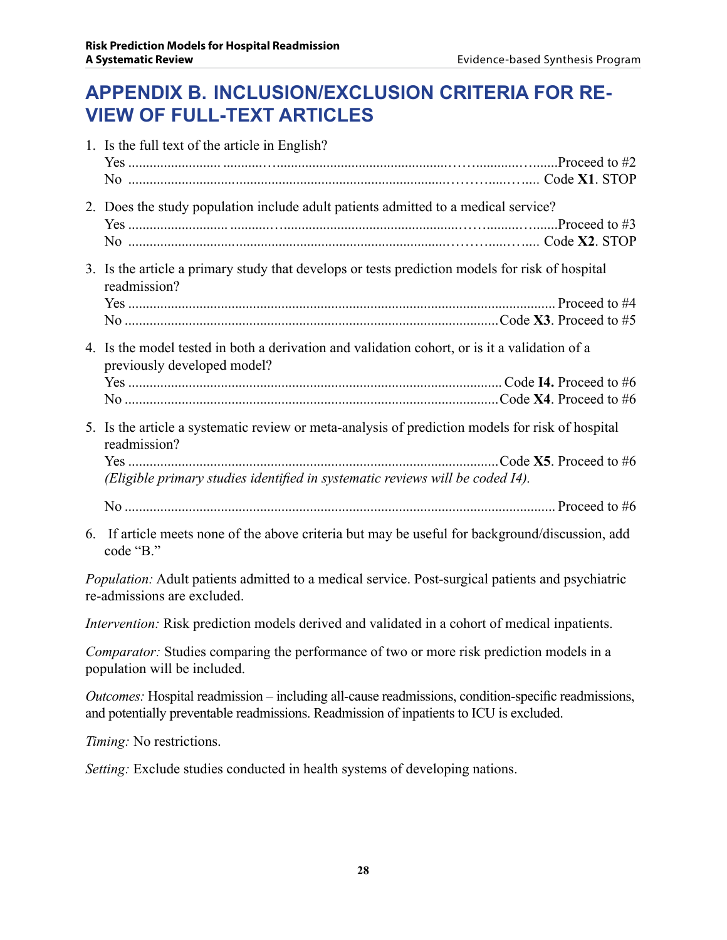## **APPENDIX B. Inclusion/exclusion criteria for review of full-text articles**

|  | 1. Is the full text of the article in English?                                                                               |
|--|------------------------------------------------------------------------------------------------------------------------------|
|  |                                                                                                                              |
|  | 2. Does the study population include adult patients admitted to a medical service?                                           |
|  |                                                                                                                              |
|  | 3. Is the article a primary study that develops or tests prediction models for risk of hospital<br>readmission?              |
|  |                                                                                                                              |
|  |                                                                                                                              |
|  | 4. Is the model tested in both a derivation and validation cohort, or is it a validation of a<br>previously developed model? |
|  |                                                                                                                              |
|  |                                                                                                                              |
|  | 5. Is the article a systematic review or meta-analysis of prediction models for risk of hospital<br>readmission?             |
|  | (Eligible primary studies identified in systematic reviews will be coded I4).                                                |
|  |                                                                                                                              |
|  |                                                                                                                              |
|  | 6. If article meets none of the above criteria but may be useful for background/discussion, add<br>code "B."                 |

*Population:* Adult patients admitted to a medical service. Post-surgical patients and psychiatric re-admissions are excluded.

*Intervention:* Risk prediction models derived and validated in a cohort of medical inpatients.

*Comparator:* Studies comparing the performance of two or more risk prediction models in a population will be included.

*Outcomes:* Hospital readmission – including all-cause readmissions, condition-specific readmissions, and potentially preventable readmissions. Readmission of inpatients to ICU is excluded.

*Timing:* No restrictions.

*Setting:* Exclude studies conducted in health systems of developing nations.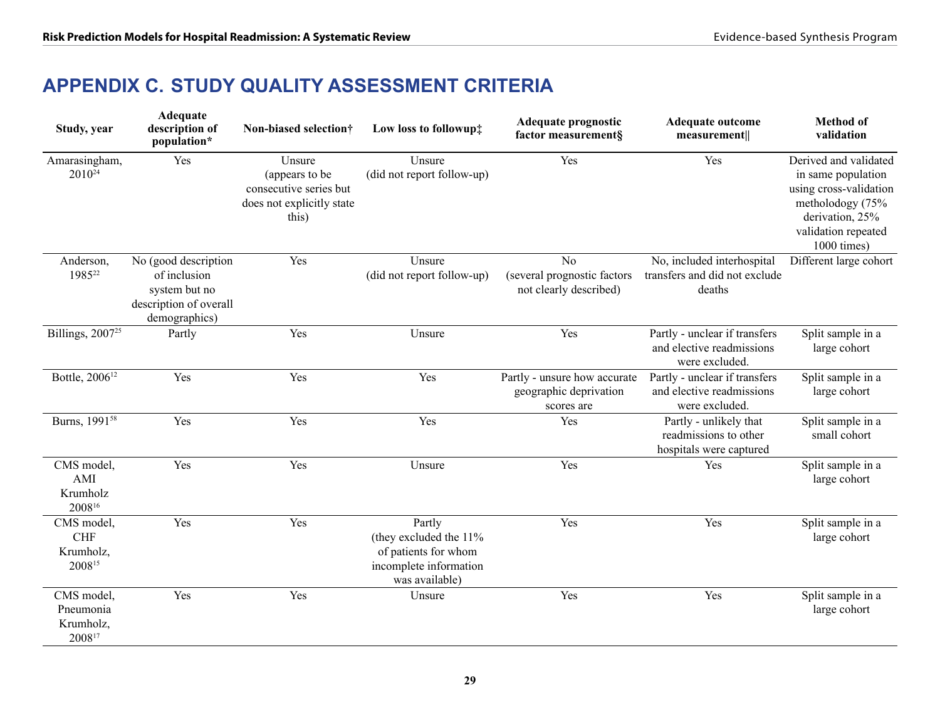## **APPENDIX C. Study quality assessment criteria**

| Study, year                                     | Adequate<br>description of<br>population*                                                        | Non-biased selection†                                                                    | Low loss to followup#                                                                                | Adequate prognostic<br>factor measurement§                              | <b>Adequate outcome</b><br>measurement                                       | <b>Method of</b><br>validation                                                                                                                     |
|-------------------------------------------------|--------------------------------------------------------------------------------------------------|------------------------------------------------------------------------------------------|------------------------------------------------------------------------------------------------------|-------------------------------------------------------------------------|------------------------------------------------------------------------------|----------------------------------------------------------------------------------------------------------------------------------------------------|
| Amarasingham,<br>$2010^{24}$                    | Yes                                                                                              | Unsure<br>(appears to be<br>consecutive series but<br>does not explicitly state<br>this) | Unsure<br>(did not report follow-up)                                                                 | Yes                                                                     | Yes                                                                          | Derived and validated<br>in same population<br>using cross-validation<br>metholodogy (75%<br>derivation, 25%<br>validation repeated<br>1000 times) |
| Anderson,<br>198522                             | No (good description<br>of inclusion<br>system but no<br>description of overall<br>demographics) | Yes                                                                                      | Unsure<br>(did not report follow-up)                                                                 | N <sub>0</sub><br>(several prognostic factors<br>not clearly described) | No, included interhospital<br>transfers and did not exclude<br>deaths        | Different large cohort                                                                                                                             |
| Billings, 2007 <sup>25</sup>                    | Partly                                                                                           | Yes                                                                                      | Unsure                                                                                               | Yes                                                                     | Partly - unclear if transfers<br>and elective readmissions<br>were excluded. | Split sample in a<br>large cohort                                                                                                                  |
| Bottle, 2006 <sup>12</sup>                      | Yes                                                                                              | Yes                                                                                      | Yes                                                                                                  | Partly - unsure how accurate<br>geographic deprivation<br>scores are    | Partly - unclear if transfers<br>and elective readmissions<br>were excluded. | Split sample in a<br>large cohort                                                                                                                  |
| Burns, 1991 <sup>58</sup>                       | Yes                                                                                              | Yes                                                                                      | Yes                                                                                                  | Yes                                                                     | Partly - unlikely that<br>readmissions to other<br>hospitals were captured   | Split sample in a<br>small cohort                                                                                                                  |
| CMS model,<br>AMI<br>Krumholz<br>200816         | Yes                                                                                              | Yes                                                                                      | Unsure                                                                                               | Yes                                                                     | Yes                                                                          | Split sample in a<br>large cohort                                                                                                                  |
| CMS model,<br><b>CHF</b><br>Krumholz,<br>200815 | Yes                                                                                              | Yes                                                                                      | Partly<br>(they excluded the 11%<br>of patients for whom<br>incomplete information<br>was available) | Yes                                                                     | Yes                                                                          | Split sample in a<br>large cohort                                                                                                                  |
| CMS model,<br>Pneumonia<br>Krumholz,<br>200817  | Yes                                                                                              | Yes                                                                                      | Unsure                                                                                               | Yes                                                                     | Yes                                                                          | Split sample in a<br>large cohort                                                                                                                  |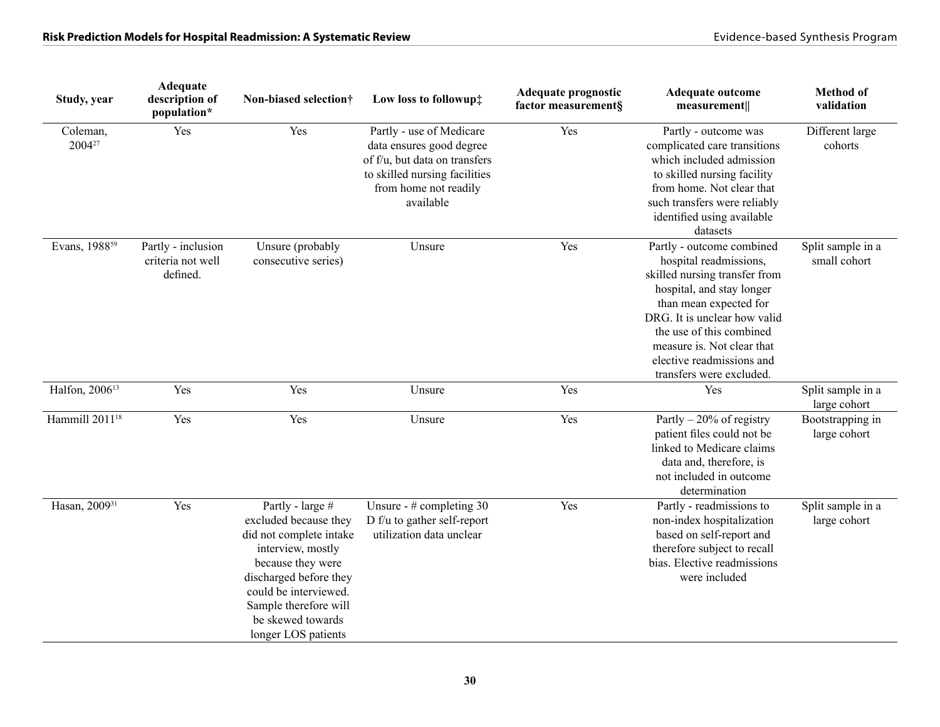| Study, year                    | <b>Adequate</b><br>description of<br>population*    | Non-biased selection†                                                                                                                                                                                                                  | Low loss to followup#                                                                                                                                        | Adequate prognostic<br>factor measurement§ | Adequate outcome<br>measurement                                                                                                                                                                                                                                                                | <b>Method</b> of<br>validation    |
|--------------------------------|-----------------------------------------------------|----------------------------------------------------------------------------------------------------------------------------------------------------------------------------------------------------------------------------------------|--------------------------------------------------------------------------------------------------------------------------------------------------------------|--------------------------------------------|------------------------------------------------------------------------------------------------------------------------------------------------------------------------------------------------------------------------------------------------------------------------------------------------|-----------------------------------|
| Coleman,<br>2004 <sup>27</sup> | Yes                                                 | Yes                                                                                                                                                                                                                                    | Partly - use of Medicare<br>data ensures good degree<br>of f/u, but data on transfers<br>to skilled nursing facilities<br>from home not readily<br>available | Yes                                        | Partly - outcome was<br>complicated care transitions<br>which included admission<br>to skilled nursing facility<br>from home. Not clear that<br>such transfers were reliably<br>identified using available<br>datasets                                                                         | Different large<br>cohorts        |
| Evans, 1988 <sup>59</sup>      | Partly - inclusion<br>criteria not well<br>defined. | Unsure (probably<br>consecutive series)                                                                                                                                                                                                | Unsure                                                                                                                                                       | Yes                                        | Partly - outcome combined<br>hospital readmissions,<br>skilled nursing transfer from<br>hospital, and stay longer<br>than mean expected for<br>DRG. It is unclear how valid<br>the use of this combined<br>measure is. Not clear that<br>elective readmissions and<br>transfers were excluded. | Split sample in a<br>small cohort |
| Halfon, 2006 <sup>13</sup>     | Yes                                                 | Yes                                                                                                                                                                                                                                    | Unsure                                                                                                                                                       | Yes                                        | Yes                                                                                                                                                                                                                                                                                            | Split sample in a<br>large cohort |
| Hammill 2011 <sup>18</sup>     | Yes                                                 | Yes                                                                                                                                                                                                                                    | Unsure                                                                                                                                                       | Yes                                        | Partly $-20\%$ of registry<br>patient files could not be<br>linked to Medicare claims<br>data and, therefore, is<br>not included in outcome<br>determination                                                                                                                                   | Bootstrapping in<br>large cohort  |
| Hasan, 2009 <sup>31</sup>      | Yes                                                 | Partly - large #<br>excluded because they<br>did not complete intake<br>interview, mostly<br>because they were<br>discharged before they<br>could be interviewed.<br>Sample therefore will<br>be skewed towards<br>longer LOS patients | Unsure - $#$ completing 30<br>D f/u to gather self-report<br>utilization data unclear                                                                        | Yes                                        | Partly - readmissions to<br>non-index hospitalization<br>based on self-report and<br>therefore subject to recall<br>bias. Elective readmissions<br>were included                                                                                                                               | Split sample in a<br>large cohort |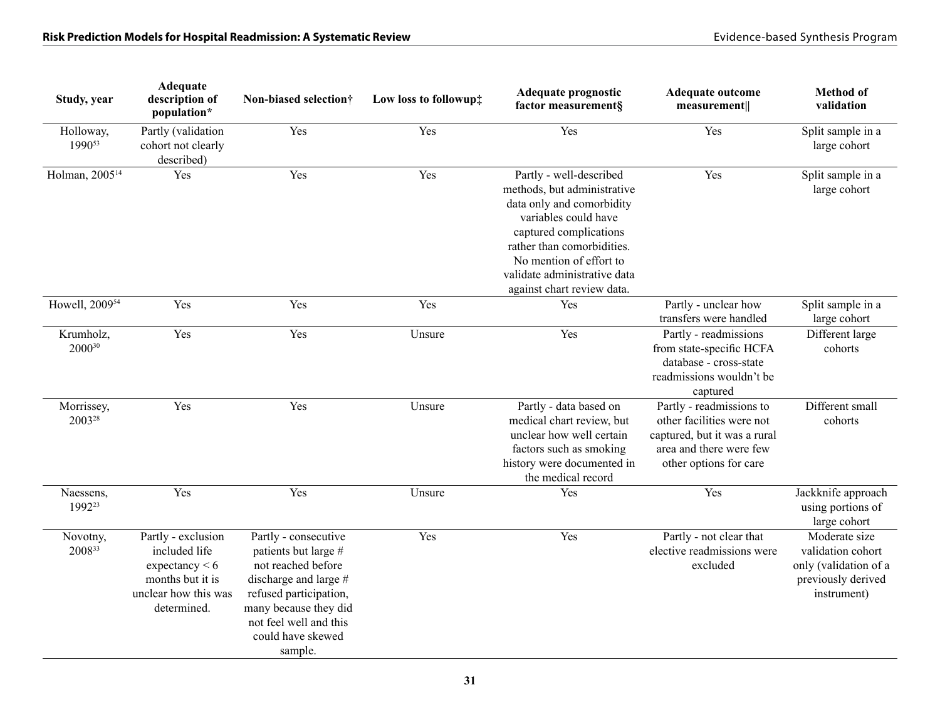| Study, year                      | Adequate<br>description of<br>population*                                                                          | Non-biased selection†                                                                                                                                                                                      | Low loss to followup# | Adequate prognostic<br>factor measurement§                                                                                                                                                                                                                   | <b>Adequate outcome</b><br>measurement                                                                                                     | <b>Method</b> of<br>validation                                                                   |
|----------------------------------|--------------------------------------------------------------------------------------------------------------------|------------------------------------------------------------------------------------------------------------------------------------------------------------------------------------------------------------|-----------------------|--------------------------------------------------------------------------------------------------------------------------------------------------------------------------------------------------------------------------------------------------------------|--------------------------------------------------------------------------------------------------------------------------------------------|--------------------------------------------------------------------------------------------------|
| Holloway,<br>199053              | Partly (validation<br>cohort not clearly<br>described)                                                             | Yes                                                                                                                                                                                                        | Yes                   | Yes                                                                                                                                                                                                                                                          | Yes                                                                                                                                        | Split sample in a<br>large cohort                                                                |
| Holman, 2005 <sup>14</sup>       | Yes                                                                                                                | Yes                                                                                                                                                                                                        | Yes                   | Partly - well-described<br>methods, but administrative<br>data only and comorbidity<br>variables could have<br>captured complications<br>rather than comorbidities.<br>No mention of effort to<br>validate administrative data<br>against chart review data. | Yes                                                                                                                                        | Split sample in a<br>large cohort                                                                |
| Howell, 2009 <sup>54</sup>       | Yes                                                                                                                | Yes                                                                                                                                                                                                        | Yes                   | Yes                                                                                                                                                                                                                                                          | Partly - unclear how<br>transfers were handled                                                                                             | Split sample in a<br>large cohort                                                                |
| Krumholz,<br>200030              | Yes                                                                                                                | Yes                                                                                                                                                                                                        | Unsure                | Yes                                                                                                                                                                                                                                                          | Partly - readmissions<br>from state-specific HCFA<br>database - cross-state<br>readmissions wouldn't be<br>captured                        | Different large<br>cohorts                                                                       |
| Morrissey,<br>2003 <sup>28</sup> | Yes                                                                                                                | Yes                                                                                                                                                                                                        | Unsure                | Partly - data based on<br>medical chart review, but<br>unclear how well certain<br>factors such as smoking<br>history were documented in<br>the medical record                                                                                               | Partly - readmissions to<br>other facilities were not<br>captured, but it was a rural<br>area and there were few<br>other options for care | Different small<br>cohorts                                                                       |
| Naessens,<br>1992 <sup>23</sup>  | Yes                                                                                                                | Yes                                                                                                                                                                                                        | Unsure                | Yes                                                                                                                                                                                                                                                          | Yes                                                                                                                                        | Jackknife approach<br>using portions of<br>large cohort                                          |
| Novotny,<br>200833               | Partly - exclusion<br>included life<br>expectancy $< 6$<br>months but it is<br>unclear how this was<br>determined. | Partly - consecutive<br>patients but large #<br>not reached before<br>discharge and large $#$<br>refused participation,<br>many because they did<br>not feel well and this<br>could have skewed<br>sample. | Yes                   | Yes                                                                                                                                                                                                                                                          | Partly - not clear that<br>elective readmissions were<br>excluded                                                                          | Moderate size<br>validation cohort<br>only (validation of a<br>previously derived<br>instrument) |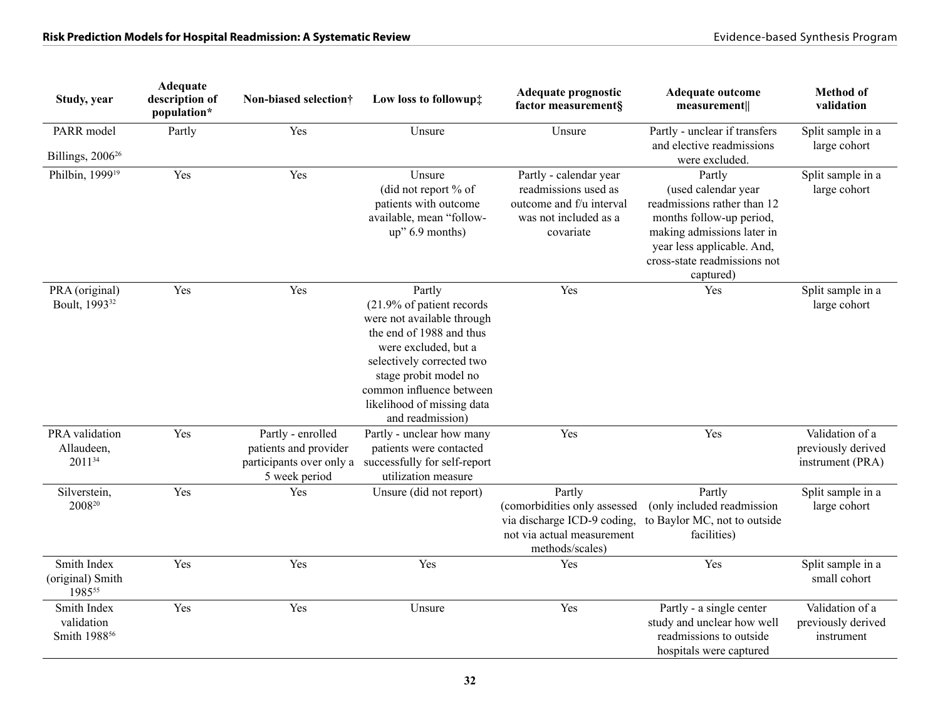| Study, year                                           | Adequate<br>description of<br>population* | Non-biased selection†                                                                   | Low loss to followup#                                                                                                                                                                                                                                     | Adequate prognostic<br>factor measurement§                                                                             | <b>Adequate outcome</b><br>measurement                                                                                                                                                            | <b>Method of</b><br>validation                            |
|-------------------------------------------------------|-------------------------------------------|-----------------------------------------------------------------------------------------|-----------------------------------------------------------------------------------------------------------------------------------------------------------------------------------------------------------------------------------------------------------|------------------------------------------------------------------------------------------------------------------------|---------------------------------------------------------------------------------------------------------------------------------------------------------------------------------------------------|-----------------------------------------------------------|
| PARR model<br>Billings, 2006 <sup>26</sup>            | Partly                                    | Yes                                                                                     | Unsure                                                                                                                                                                                                                                                    | Unsure                                                                                                                 | Partly - unclear if transfers<br>and elective readmissions<br>were excluded.                                                                                                                      | Split sample in a<br>large cohort                         |
| Philbin, 1999 <sup>19</sup>                           | Yes                                       | Yes                                                                                     | Unsure<br>(did not report % of<br>patients with outcome<br>available, mean "follow-<br>up" 6.9 months)                                                                                                                                                    | Partly - calendar year<br>readmissions used as<br>outcome and f/u interval<br>was not included as a<br>covariate       | Partly<br>(used calendar year<br>readmissions rather than 12<br>months follow-up period,<br>making admissions later in<br>year less applicable. And,<br>cross-state readmissions not<br>captured) | Split sample in a<br>large cohort                         |
| PRA (original)<br>Boult, 1993 <sup>32</sup>           | Yes                                       | Yes                                                                                     | Partly<br>(21.9% of patient records<br>were not available through<br>the end of 1988 and thus<br>were excluded, but a<br>selectively corrected two<br>stage probit model no<br>common influence between<br>likelihood of missing data<br>and readmission) | Yes                                                                                                                    | Yes                                                                                                                                                                                               | Split sample in a<br>large cohort                         |
| PRA validation<br>Allaudeen,<br>201134                | Yes                                       | Partly - enrolled<br>patients and provider<br>participants over only a<br>5 week period | Partly - unclear how many<br>patients were contacted<br>successfully for self-report<br>utilization measure                                                                                                                                               | Yes                                                                                                                    | Yes                                                                                                                                                                                               | Validation of a<br>previously derived<br>instrument (PRA) |
| Silverstein,<br>$2008^{\scriptscriptstyle 20}$        | Yes                                       | Yes                                                                                     | Unsure (did not report)                                                                                                                                                                                                                                   | Partly<br>(comorbidities only assessed<br>via discharge ICD-9 coding,<br>not via actual measurement<br>methods/scales) | Partly<br>(only included readmission<br>to Baylor MC, not to outside<br>facilities)                                                                                                               | Split sample in a<br>large cohort                         |
| Smith Index<br>(original) Smith<br>198555             | Yes                                       | Yes                                                                                     | Yes                                                                                                                                                                                                                                                       | Yes                                                                                                                    | Yes                                                                                                                                                                                               | Split sample in a<br>small cohort                         |
| Smith Index<br>validation<br>Smith 1988 <sup>56</sup> | Yes                                       | Yes                                                                                     | Unsure                                                                                                                                                                                                                                                    | Yes                                                                                                                    | Partly - a single center<br>study and unclear how well<br>readmissions to outside<br>hospitals were captured                                                                                      | Validation of a<br>previously derived<br>instrument       |